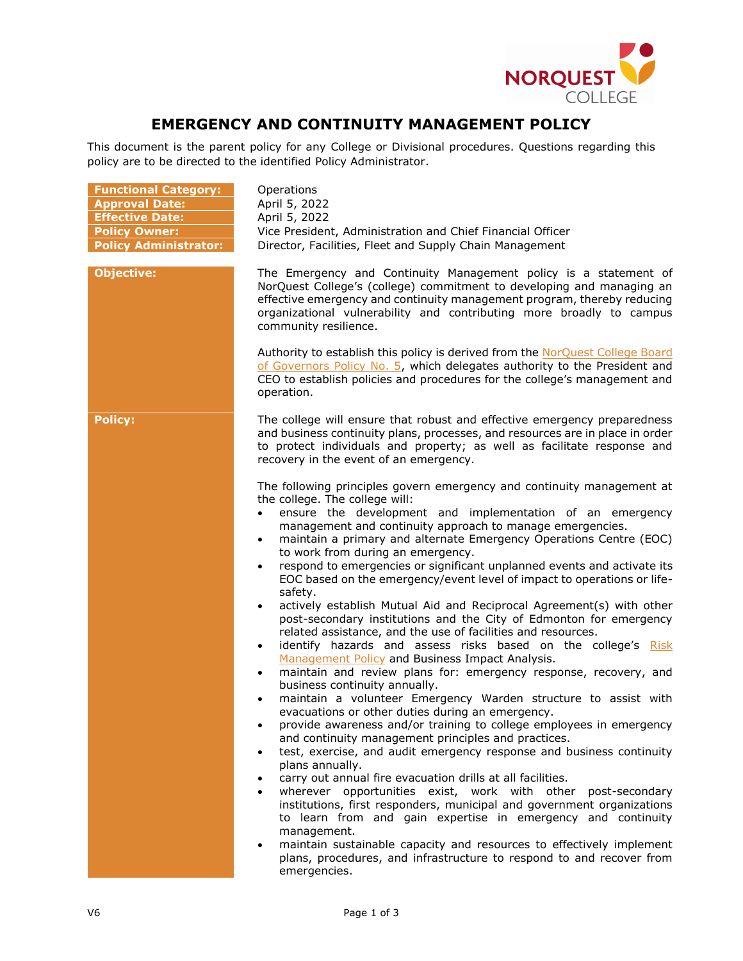

## **EMERGENCY AND CONTINUITY MANAGEMENT POLICY**

This document is the parent policy for any College or Divisional procedures. Questions regarding this policy are to be directed to the identified Policy Administrator.

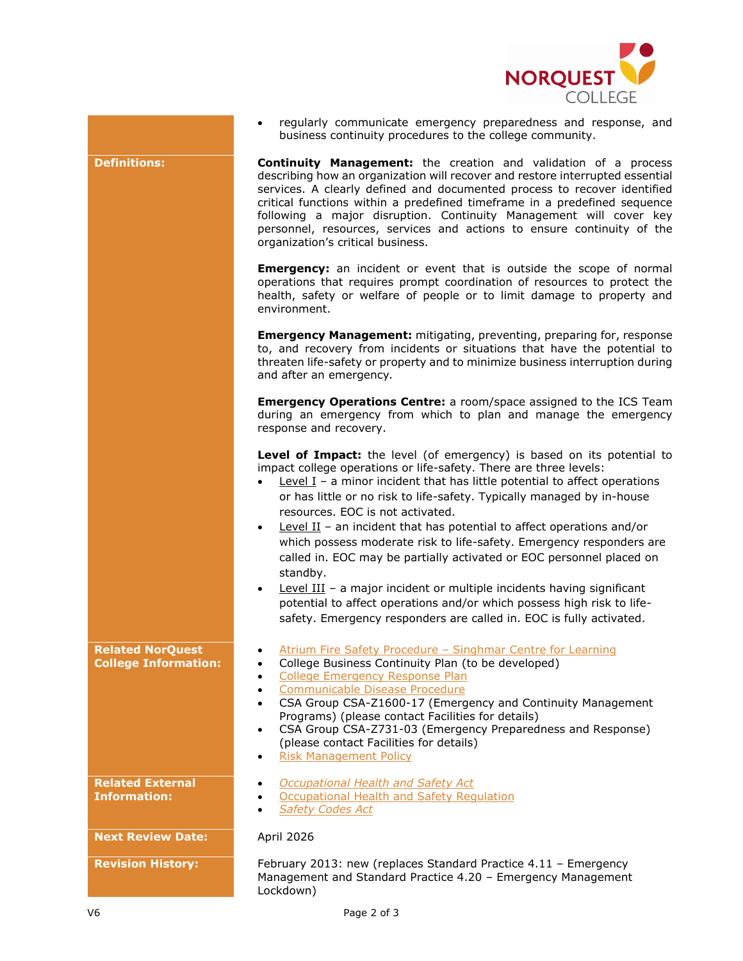

|                                                        | regularly communicate emergency preparedness and response, and<br>business continuity procedures to the college community.                                                                                                                                                                                                                                                                                                                                                                                                                                                                                                                                                                                                                                                                                           |
|--------------------------------------------------------|----------------------------------------------------------------------------------------------------------------------------------------------------------------------------------------------------------------------------------------------------------------------------------------------------------------------------------------------------------------------------------------------------------------------------------------------------------------------------------------------------------------------------------------------------------------------------------------------------------------------------------------------------------------------------------------------------------------------------------------------------------------------------------------------------------------------|
| <b>Definitions:</b>                                    | <b>Continuity Management:</b> the creation and validation of a process<br>describing how an organization will recover and restore interrupted essential<br>services. A clearly defined and documented process to recover identified<br>critical functions within a predefined timeframe in a predefined sequence<br>following a major disruption. Continuity Management will cover key<br>personnel, resources, services and actions to ensure continuity of the<br>organization's critical business.                                                                                                                                                                                                                                                                                                                |
|                                                        | <b>Emergency:</b> an incident or event that is outside the scope of normal<br>operations that requires prompt coordination of resources to protect the<br>health, safety or welfare of people or to limit damage to property and<br>environment.                                                                                                                                                                                                                                                                                                                                                                                                                                                                                                                                                                     |
|                                                        | <b>Emergency Management:</b> mitigating, preventing, preparing for, response<br>to, and recovery from incidents or situations that have the potential to<br>threaten life-safety or property and to minimize business interruption during<br>and after an emergency.                                                                                                                                                                                                                                                                                                                                                                                                                                                                                                                                                 |
|                                                        | <b>Emergency Operations Centre:</b> a room/space assigned to the ICS Team<br>during an emergency from which to plan and manage the emergency<br>response and recovery.                                                                                                                                                                                                                                                                                                                                                                                                                                                                                                                                                                                                                                               |
|                                                        | Level of Impact: the level (of emergency) is based on its potential to<br>impact college operations or life-safety. There are three levels:<br>Level $I - a$ minor incident that has little potential to affect operations<br>or has little or no risk to life-safety. Typically managed by in-house<br>resources. EOC is not activated.<br>Level II - an incident that has potential to affect operations and/or<br>$\bullet$<br>which possess moderate risk to life-safety. Emergency responders are<br>called in. EOC may be partially activated or EOC personnel placed on<br>standby.<br>Level III - a major incident or multiple incidents having significant<br>potential to affect operations and/or which possess high risk to life-<br>safety. Emergency responders are called in. EOC is fully activated. |
| <b>Related NorQuest</b><br><b>College Information:</b> | Atrium Fire Safety Procedure - Singhmar Centre for Learning<br>College Business Continuity Plan (to be developed)<br>٠<br><b>College Emergency Response Plan</b><br>$\bullet$<br>Communicable Disease Procedure<br>CSA Group CSA-Z1600-17 (Emergency and Continuity Management<br>$\bullet$<br>Programs) (please contact Facilities for details)<br>CSA Group CSA-Z731-03 (Emergency Preparedness and Response)<br>(please contact Facilities for details)<br><b>Risk Management Policy</b><br>$\bullet$                                                                                                                                                                                                                                                                                                             |
| <b>Related External</b><br><b>Information:</b>         | Occupational Health and Safety Act<br>Occupational Health and Safety Regulation<br><b>Safety Codes Act</b>                                                                                                                                                                                                                                                                                                                                                                                                                                                                                                                                                                                                                                                                                                           |
| <b>Next Review Date:</b>                               | April 2026                                                                                                                                                                                                                                                                                                                                                                                                                                                                                                                                                                                                                                                                                                                                                                                                           |
| <b>Revision History:</b>                               | February 2013: new (replaces Standard Practice 4.11 - Emergency<br>Management and Standard Practice 4.20 - Emergency Management<br>Lockdown)                                                                                                                                                                                                                                                                                                                                                                                                                                                                                                                                                                                                                                                                         |